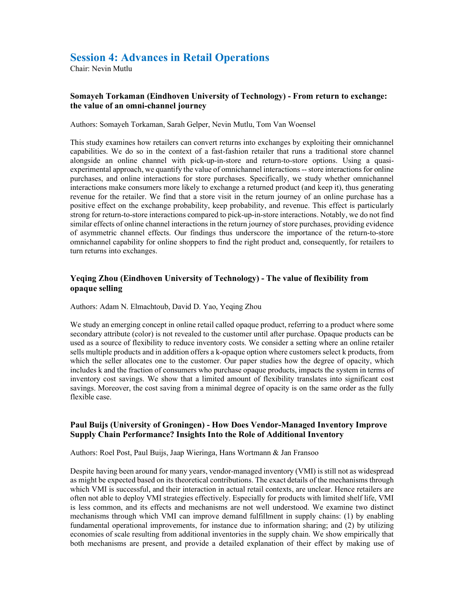## Session 4: Advances in Retail Operations

Chair: Nevin Mutlu

## Somayeh Torkaman (Eindhoven University of Technology) - From return to exchange: the value of an omni-channel journey

Authors: Somayeh Torkaman, Sarah Gelper, Nevin Mutlu, Tom Van Woensel

This study examines how retailers can convert returns into exchanges by exploiting their omnichannel capabilities. We do so in the context of a fast-fashion retailer that runs a traditional store channel alongside an online channel with pick-up-in-store and return-to-store options. Using a quasiexperimental approach, we quantify the value of omnichannel interactions -- store interactions for online purchases, and online interactions for store purchases. Specifically, we study whether omnichannel interactions make consumers more likely to exchange a returned product (and keep it), thus generating revenue for the retailer. We find that a store visit in the return journey of an online purchase has a positive effect on the exchange probability, keep probability, and revenue. This effect is particularly strong for return-to-store interactions compared to pick-up-in-store interactions. Notably, we do not find similar effects of online channel interactions in the return journey of store purchases, providing evidence of asymmetric channel effects. Our findings thus underscore the importance of the return-to-store omnichannel capability for online shoppers to find the right product and, consequently, for retailers to turn returns into exchanges.

## Yeqing Zhou (Eindhoven University of Technology) - The value of flexibility from opaque selling

Authors: Adam N. Elmachtoub, David D. Yao, Yeqing Zhou

We study an emerging concept in online retail called opaque product, referring to a product where some secondary attribute (color) is not revealed to the customer until after purchase. Opaque products can be used as a source of flexibility to reduce inventory costs. We consider a setting where an online retailer sells multiple products and in addition offers a k-opaque option where customers select k products, from which the seller allocates one to the customer. Our paper studies how the degree of opacity, which includes k and the fraction of consumers who purchase opaque products, impacts the system in terms of inventory cost savings. We show that a limited amount of flexibility translates into significant cost savings. Moreover, the cost saving from a minimal degree of opacity is on the same order as the fully flexible case.

## Paul Buijs (University of Groningen) - How Does Vendor-Managed Inventory Improve Supply Chain Performance? Insights Into the Role of Additional Inventory

Authors: Roel Post, Paul Buijs, Jaap Wieringa, Hans Wortmann & Jan Fransoo

Despite having been around for many years, vendor-managed inventory (VMI) is still not as widespread as might be expected based on its theoretical contributions. The exact details of the mechanisms through which VMI is successful, and their interaction in actual retail contexts, are unclear. Hence retailers are often not able to deploy VMI strategies effectively. Especially for products with limited shelf life, VMI is less common, and its effects and mechanisms are not well understood. We examine two distinct mechanisms through which VMI can improve demand fulfillment in supply chains: (1) by enabling fundamental operational improvements, for instance due to information sharing; and (2) by utilizing economies of scale resulting from additional inventories in the supply chain. We show empirically that both mechanisms are present, and provide a detailed explanation of their effect by making use of